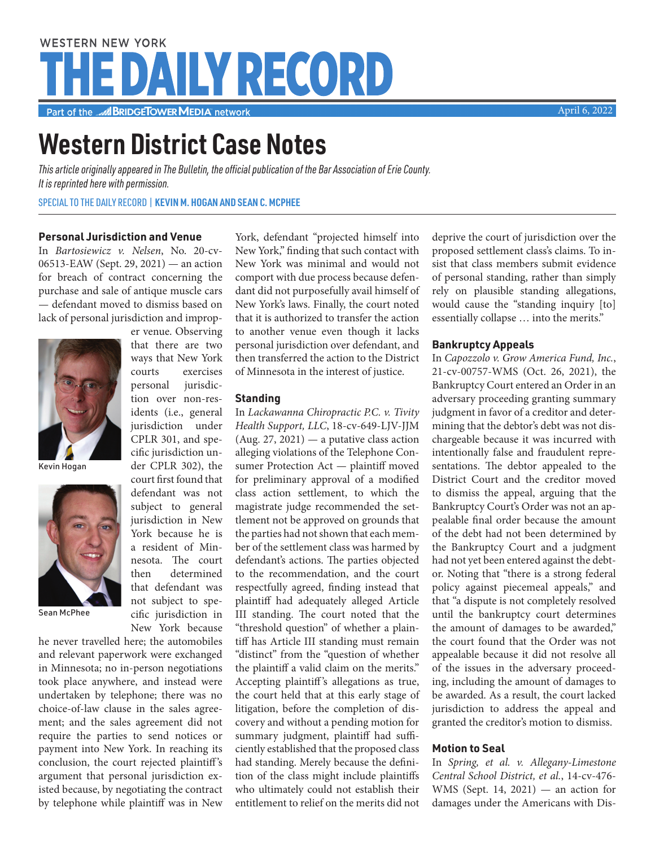# **WESTERN NEW YORK THE DAILY RECORD**

Part of the **MEDIA** network

# **Western District Case Notes**

*This article originally appeared in The Bulletin, the official publication of the Bar Association of Erie County. It is reprinted here with permission.*

SPECIAL TO THE DAILY RECORD | **KEVIN M. HOGAN AND SEAN C. MCPHEE**

er venue. Observing that there are two ways that New York courts exercises personal jurisdiction over non-residents (i.e., general jurisdiction under CPLR 301, and specific jurisdiction under CPLR 302), the court first found that defendant was not subject to general jurisdiction in New York because he is a resident of Minnesota. The court then determined that defendant was not subject to specific jurisdiction in New York because

### **Personal Jurisdiction and Venue**

In *Bartosiewicz v. Nelsen*, No. 20-cv-06513-EAW (Sept. 29, 2021) — an action for breach of contract concerning the purchase and sale of antique muscle cars — defendant moved to dismiss based on lack of personal jurisdiction and improp-





he never travelled here; the automobiles and relevant paperwork were exchanged in Minnesota; no in-person negotiations took place anywhere, and instead were undertaken by telephone; there was no choice-of-law clause in the sales agreement; and the sales agreement did not require the parties to send notices or payment into New York. In reaching its conclusion, the court rejected plaintiff's argument that personal jurisdiction existed because, by negotiating the contract by telephone while plaintiff was in New

York, defendant "projected himself into New York," finding that such contact with New York was minimal and would not comport with due process because defendant did not purposefully avail himself of New York's laws. Finally, the court noted that it is authorized to transfer the action to another venue even though it lacks personal jurisdiction over defendant, and then transferred the action to the District of Minnesota in the interest of justice.

#### **Standing**

In *Lackawanna Chiropractic P.C. v. Tivity Health Support, LLC*, 18-cv-649-LJV-JJM  $(Aug. 27, 2021)$  — a putative class action alleging violations of the Telephone Consumer Protection Act — plaintiff moved for preliminary approval of a modified class action settlement, to which the magistrate judge recommended the settlement not be approved on grounds that the parties had not shown that each member of the settlement class was harmed by defendant's actions. The parties objected to the recommendation, and the court respectfully agreed, finding instead that plaintiff had adequately alleged Article III standing. The court noted that the "threshold question" of whether a plaintiff has Article III standing must remain "distinct" from the "question of whether the plaintiff a valid claim on the merits." Accepting plaintiff's allegations as true, the court held that at this early stage of litigation, before the completion of discovery and without a pending motion for summary judgment, plaintiff had sufficiently established that the proposed class had standing. Merely because the definition of the class might include plaintiffs who ultimately could not establish their entitlement to relief on the merits did not deprive the court of jurisdiction over the proposed settlement class's claims. To insist that class members submit evidence of personal standing, rather than simply rely on plausible standing allegations, would cause the "standing inquiry [to] essentially collapse … into the merits."

#### **Bankruptcy Appeals**

In *Capozzolo v. Grow America Fund, Inc.*, 21-cv-00757-WMS (Oct. 26, 2021), the Bankruptcy Court entered an Order in an adversary proceeding granting summary judgment in favor of a creditor and determining that the debtor's debt was not dischargeable because it was incurred with intentionally false and fraudulent representations. The debtor appealed to the District Court and the creditor moved to dismiss the appeal, arguing that the Bankruptcy Court's Order was not an appealable final order because the amount of the debt had not been determined by the Bankruptcy Court and a judgment had not yet been entered against the debtor. Noting that "there is a strong federal policy against piecemeal appeals," and that "a dispute is not completely resolved until the bankruptcy court determines the amount of damages to be awarded," the court found that the Order was not appealable because it did not resolve all of the issues in the adversary proceeding, including the amount of damages to be awarded. As a result, the court lacked jurisdiction to address the appeal and granted the creditor's motion to dismiss.

#### **Motion to Seal**

In *Spring, et al. v. Allegany-Limestone Central School District, et al.*, 14-cv-476- WMS (Sept. 14, 2021) — an action for damages under the Americans with Dis-